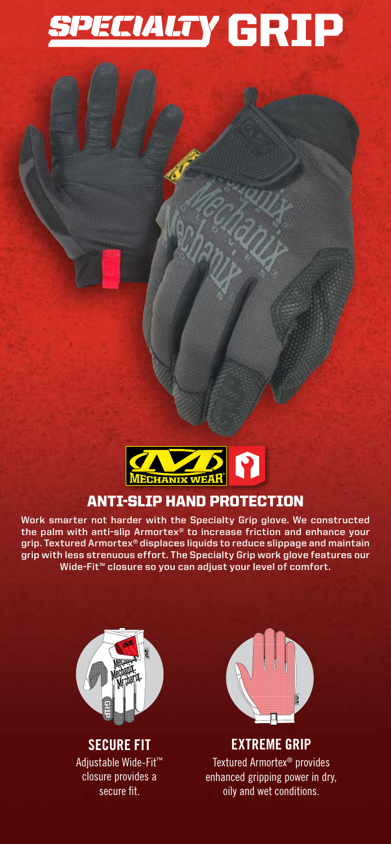# **SPECIALTY GRIP**



## ANTI-SLIP HAND PROTECTION

**Work smarter not harder with the Specialty Grip glove. We constructed the palm with anti-slip Armortex® to increase friction and enhance your grip. Textured Armortex® displaces liquids to reduce slippage and maintain grip with less strenuous effort. The Specialty Grip work glove features our Wide-Fit™ closure so you can adjust your level of comfort.**



**SECURE FIT** Adjustable Wide-Fit™ closure provides a secure fit.



**EXTREME GRIP** Textured Armortex® provides enhanced gripping power in dry, oily and wet conditions.